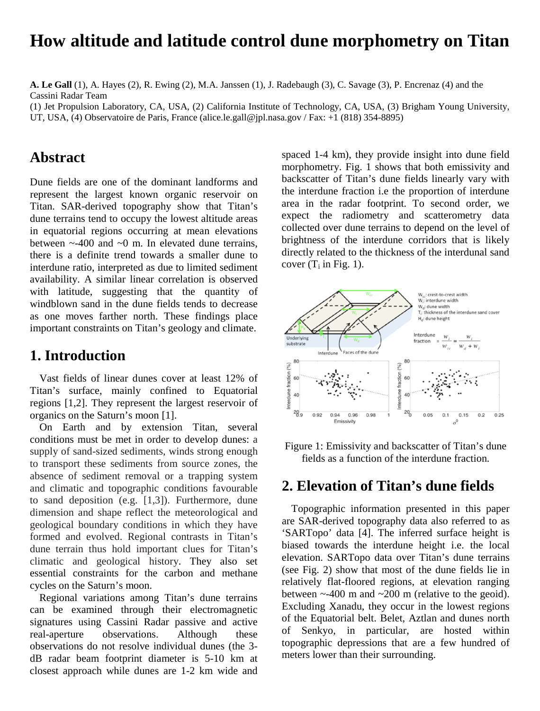# **How altitude and latitude control dune morphometry on Titan**

**A. Le Gall** (1), A. Hayes (2), R. Ewing (2), M.A. Janssen (1), J. Radebaugh (3), C. Savage (3), P. Encrenaz (4) and the Cassini Radar Team

(1) Jet Propulsion Laboratory, CA, USA, (2) California Institute of Technology, CA, USA, (3) Brigham Young University, UT, USA, (4) Observatoire de Paris, France (alice.le.gall@jpl.nasa.gov / Fax: +1 (818) 354-8895)

#### **Abstract**

Dune fields are one of the dominant landforms and represent the largest known organic reservoir on Titan. SAR-derived topography show that Titan's dune terrains tend to occupy the lowest altitude areas in equatorial regions occurring at mean elevations between  $\sim$ -400 and  $\sim$ 0 m. In elevated dune terrains, there is a definite trend towards a smaller dune to interdune ratio, interpreted as due to limited sediment availability. A similar linear correlation is observed with latitude, suggesting that the quantity of windblown sand in the dune fields tends to decrease as one moves farther north. These findings place important constraints on Titan's geology and climate.

### **1. Introduction**

Vast fields of linear dunes cover at least 12% of Titan's surface, mainly confined to Equatorial regions [1,2]. They represent the largest reservoir of organics on the Saturn's moon [1].

On Earth and by extension Titan, several conditions must be met in order to develop dunes: a supply of sand-sized sediments, winds strong enough to transport these sediments from source zones, the absence of sediment removal or a trapping system and climatic and topographic conditions favourable to sand deposition (e.g. [1,3]). Furthermore, dune dimension and shape reflect the meteorological and geological boundary conditions in which they have formed and evolved. Regional contrasts in Titan's dune terrain thus hold important clues for Titan's climatic and geological history. They also set essential constraints for the carbon and methane cycles on the Saturn's moon.

Regional variations among Titan's dune terrains can be examined through their electromagnetic signatures using Cassini Radar passive and active observations. Although these observations do not resolve individual dunes (the 3 dB radar beam footprint diameter is 5-10 km at closest approach while dunes are 1-2 km wide and

spaced 1-4 km), they provide insight into dune field morphometry. Fig. 1 shows that both emissivity and backscatter of Titan's dune fields linearly vary with the interdune fraction i.e the proportion of interdune area in the radar footprint. To second order, we expect the radiometry and scatterometry data collected over dune terrains to depend on the level of brightness of the interdune corridors that is likely directly related to the thickness of the interdunal sand cover  $(T_i$  in Fig. 1).





### **2. Elevation of Titan's dune fields**

Topographic information presented in this paper are SAR-derived topography data also referred to as 'SARTopo' data [4]. The inferred surface height is biased towards the interdune height i.e. the local elevation. SARTopo data over Titan's dune terrains (see Fig. 2) show that most of the dune fields lie in relatively flat-floored regions, at elevation ranging between  $\sim$ -400 m and  $\sim$ 200 m (relative to the geoid). Excluding Xanadu, they occur in the lowest regions of the Equatorial belt. Belet, Aztlan and dunes north of Senkyo, in particular, are hosted within topographic depressions that are a few hundred of meters lower than their surrounding.